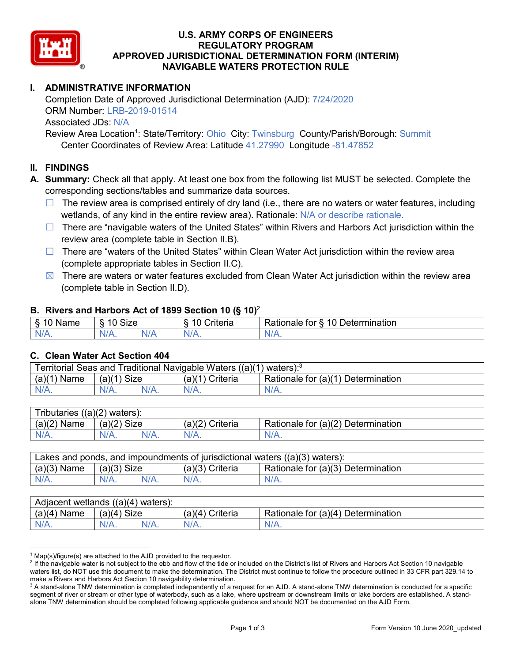

## **U.S. ARMY CORPS OF ENGINEERS REGULATORY PROGRAM APPROVED JURISDICTIONAL DETERMINATION FORM (INTERIM) NAVIGABLE WATERS PROTECTION RULE**

# **I. ADMINISTRATIVE INFORMATION**

Completion Date of Approved Jurisdictional Determination (AJD): 7/24/2020 ORM Number: LRB-2019-01514 Associated JDs: N/A

Review Area Location<sup>1</sup>: State/Territory: Ohio City: Twinsburg County/Parish/Borough: Summit Center Coordinates of Review Area: Latitude 41.27990 Longitude -81.47852

# **II. FINDINGS**

**A. Summary:** Check all that apply. At least one box from the following list MUST be selected. Complete the corresponding sections/tables and summarize data sources.

- $\Box$  The review area is comprised entirely of dry land (i.e., there are no waters or water features, including wetlands, of any kind in the entire review area). Rationale: N/A or describe rationale.
- ☐ There are "navigable waters of the United States" within Rivers and Harbors Act jurisdiction within the review area (complete table in Section II.B).
- $\Box$  There are "waters of the United States" within Clean Water Act jurisdiction within the review area (complete appropriate tables in Section II.C).
- $\boxtimes$  There are waters or water features excluded from Clean Water Act jurisdiction within the review area (complete table in Section II.D).

#### **B. Rivers and Harbors Act of 1899 Section 10 (§ 10)**<sup>2</sup>

| $\cdot$  |                                           |   |                     |                                         |  |
|----------|-------------------------------------------|---|---------------------|-----------------------------------------|--|
| Name<br> | Size<br>$\overline{10}$<br>$\circ$<br>1 U |   | .<br>10<br>Criteria | 10<br>Determination<br>≺atıonale<br>tor |  |
| $N/A$ .  | NI/4<br>17 A .                            | w |                     | N/L                                     |  |

#### **C. Clean Water Act Section 404**

| Traditional Navigable Waters ((a)(1)<br>l Seas and<br>Γerritorial<br>waters): <sup>3</sup> |                |  |                    |                                            |  |
|--------------------------------------------------------------------------------------------|----------------|--|--------------------|--------------------------------------------|--|
| $(a)$ $(1)$<br>Name                                                                        | Size<br>(a)(1) |  | Criteria<br>(a)(1) | Rationale for $(a)(1)$<br>1) Determination |  |
|                                                                                            | $N/A$ .        |  | $N/A$ .            | $N/A$ .                                    |  |

| $((a)(2)$ waters):<br>Tributaries, |               |         |                   |                                    |  |  |
|------------------------------------|---------------|---------|-------------------|------------------------------------|--|--|
| $(a)(2)$ Name                      | $(a)(2)$ Size |         | $(a)(2)$ Criteria | Rationale for (a)(2) Determination |  |  |
| $N/A$ .                            | N/A.          | $N/A$ . | $N/A$ .           | N/A.                               |  |  |

| Lakes and ponds, and impoundments of jurisdictional waters $((a)(3)$ waters): |               |  |                   |                                    |  |
|-------------------------------------------------------------------------------|---------------|--|-------------------|------------------------------------|--|
| $(a)(3)$ Name                                                                 | $(a)(3)$ Size |  | $(a)(3)$ Criteria | Rationale for (a)(3) Determination |  |
| $N/A$ .                                                                       | $N/A$ .       |  | $N/A$ .           | $N/A$ .                            |  |

| Adjacent wetlands $((a)(4)$ waters): |                |         |                    |                                         |  |  |
|--------------------------------------|----------------|---------|--------------------|-----------------------------------------|--|--|
| (a)(4)<br>∖ Name                     | (a)(4)<br>Size |         | Criteria<br>(a)(4) | Rationale for (a)(4) D<br>Determination |  |  |
| N/A.                                 | N/A.           | $N/A$ . |                    | $N/A$ .                                 |  |  |

 $1$  Map(s)/figure(s) are attached to the AJD provided to the requestor.

<sup>&</sup>lt;sup>2</sup> If the navigable water is not subject to the ebb and flow of the tide or included on the District's list of Rivers and Harbors Act Section 10 navigable waters list, do NOT use this document to make the determination. The District must continue to follow the procedure outlined in 33 CFR part 329.14 to make a Rivers and Harbors Act Section 10 navigability determination.

 $3$  A stand-alone TNW determination is completed independently of a request for an AJD. A stand-alone TNW determination is conducted for a specific segment of river or stream or other type of waterbody, such as a lake, where upstream or downstream limits or lake borders are established. A standalone TNW determination should be completed following applicable guidance and should NOT be documented on the AJD Form.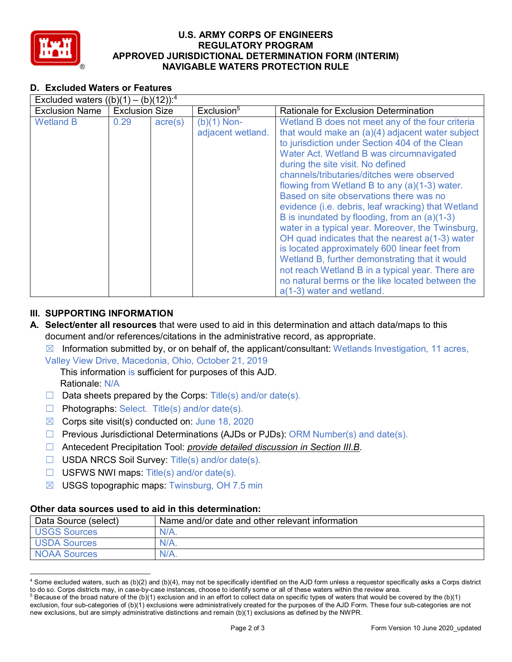

## **U.S. ARMY CORPS OF ENGINEERS REGULATORY PROGRAM APPROVED JURISDICTIONAL DETERMINATION FORM (INTERIM) NAVIGABLE WATERS PROTECTION RULE**

# **D. Excluded Waters or Features**

| Excluded waters $((b)(1) - (b)(12))$ : <sup>4</sup> |                       |                  |                                    |                                                                                                                                                                                                                                                                                                                                                                                                                                                                                                                                                                                                                                                                                                                                                                                                                                             |
|-----------------------------------------------------|-----------------------|------------------|------------------------------------|---------------------------------------------------------------------------------------------------------------------------------------------------------------------------------------------------------------------------------------------------------------------------------------------------------------------------------------------------------------------------------------------------------------------------------------------------------------------------------------------------------------------------------------------------------------------------------------------------------------------------------------------------------------------------------------------------------------------------------------------------------------------------------------------------------------------------------------------|
| <b>Exclusion Name</b>                               | <b>Exclusion Size</b> |                  | Exclusion <sup>5</sup>             | Rationale for Exclusion Determination                                                                                                                                                                                                                                                                                                                                                                                                                                                                                                                                                                                                                                                                                                                                                                                                       |
| <b>Wetland B</b>                                    | 0.29                  | $\text{acre}(s)$ | $(b)(1)$ Non-<br>adjacent wetland. | Wetland B does not meet any of the four criteria<br>that would make an $(a)(4)$ adjacent water subject<br>to jurisdiction under Section 404 of the Clean<br>Water Act. Wetland B was circumnavigated<br>during the site visit. No defined<br>channels/tributaries/ditches were observed<br>flowing from Wetland B to any (a)(1-3) water.<br>Based on site observations there was no<br>evidence (i.e. debris, leaf wracking) that Wetland<br>B is inundated by flooding, from an (a)(1-3)<br>water in a typical year. Moreover, the Twinsburg,<br>OH quad indicates that the nearest $a(1-3)$ water<br>is located approximately 600 linear feet from<br>Wetland B, further demonstrating that it would<br>not reach Wetland B in a typical year. There are<br>no natural berms or the like located between the<br>a(1-3) water and wetland. |

# **III. SUPPORTING INFORMATION**

- **A. Select/enter all resources** that were used to aid in this determination and attach data/maps to this document and/or references/citations in the administrative record, as appropriate.
	- $\boxtimes$  Information submitted by, or on behalf of, the applicant/consultant: Wetlands Investigation, 11 acres,

Valley View Drive, Macedonia, Ohio, October 21, 2019

This information is sufficient for purposes of this AJD. Rationale: N/A

- $\Box$  Data sheets prepared by the Corps: Title(s) and/or date(s).
- ☐ Photographs: Select. Title(s) and/or date(s).
- $\boxtimes$  Corps site visit(s) conducted on: June 18, 2020
- $\Box$  Previous Jurisdictional Determinations (AJDs or PJDs): ORM Number(s) and date(s).
- ☐ Antecedent Precipitation Tool: *provide detailed discussion in Section III.B*.
- ☐ USDA NRCS Soil Survey: Title(s) and/or date(s).
- $\Box$  USFWS NWI maps: Title(s) and/or date(s).
- ☒ USGS topographic maps: Twinsburg, OH 7.5 min

#### **Other data sources used to aid in this determination:**

| Data Source (select) | Name and/or date and other relevant information |
|----------------------|-------------------------------------------------|
| USGS Sources         | $N/A$ .                                         |
| <b>USDA Sources</b>  | $N/A$ .                                         |
| <b>NOAA Sources</b>  | $N/A$ .                                         |

 <sup>4</sup> Some excluded waters, such as (b)(2) and (b)(4), may not be specifically identified on the AJD form unless a requestor specifically asks a Corps district to do so. Corps districts may, in case-by-case instances, choose to identify some or all of these waters within the review area.

 $5$  Because of the broad nature of the (b)(1) exclusion and in an effort to collect data on specific types of waters that would be covered by the (b)(1) exclusion, four sub-categories of (b)(1) exclusions were administratively created for the purposes of the AJD Form. These four sub-categories are not new exclusions, but are simply administrative distinctions and remain (b)(1) exclusions as defined by the NWPR.